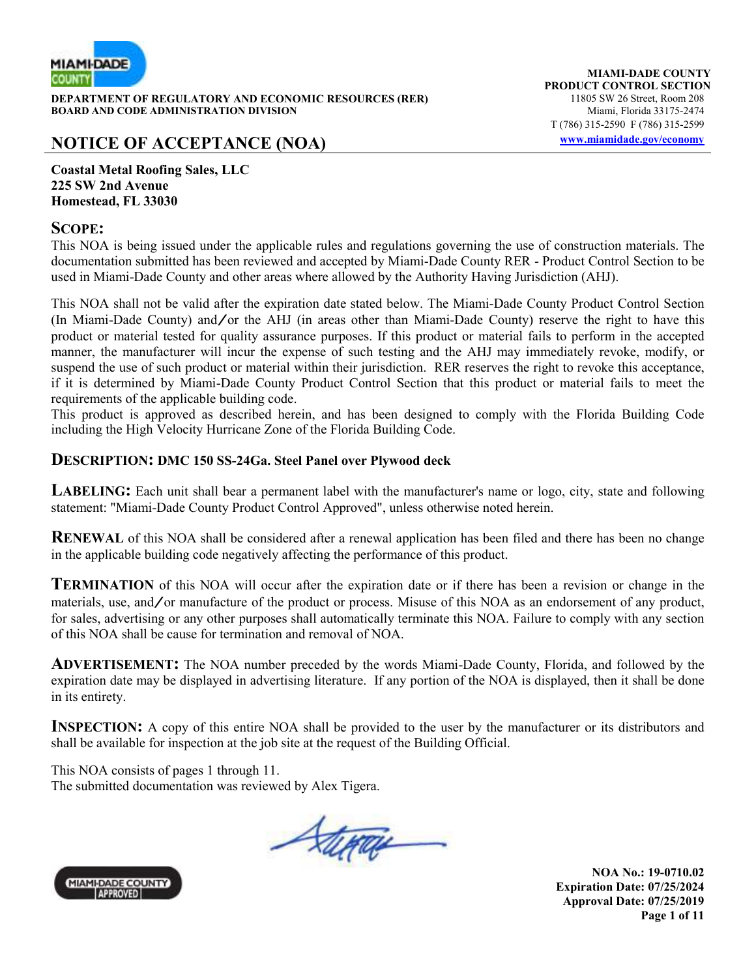

**DEPARTMENT OF REGULATORY AND ECONOMIC RESOURCES (RER)** 11805 SW 26 Street, Room 208 **BOARD AND CODE ADMINISTRATION DIVISION Miami, Florida 33175-2474** 

#### **NOTICE OF ACCEPTANCE (NOA) www.miamidade.gov/economy**

**MIAMI-DADE COUNTY PRODUCT CONTROL SECTION** T (786) 315-2590 F (786) 315-2599

**Coastal Metal Roofing Sales, LLC 225 SW 2nd Avenue Homestead, FL 33030**

#### **SCOPE:**

This NOA is being issued under the applicable rules and regulations governing the use of construction materials. The documentation submitted has been reviewed and accepted by Miami-Dade County RER - Product Control Section to be used in Miami-Dade County and other areas where allowed by the Authority Having Jurisdiction (AHJ).

This NOA shall not be valid after the expiration date stated below. The Miami-Dade County Product Control Section (In Miami-Dade County) and/or the AHJ (in areas other than Miami-Dade County) reserve the right to have this product or material tested for quality assurance purposes. If this product or material fails to perform in the accepted manner, the manufacturer will incur the expense of such testing and the AHJ may immediately revoke, modify, or suspend the use of such product or material within their jurisdiction. RER reserves the right to revoke this acceptance, if it is determined by Miami-Dade County Product Control Section that this product or material fails to meet the requirements of the applicable building code.

This product is approved as described herein, and has been designed to comply with the Florida Building Code including the High Velocity Hurricane Zone of the Florida Building Code.

#### **DESCRIPTION: DMC 150 SS-24Ga. Steel Panel over Plywood deck**

**LABELING:** Each unit shall bear a permanent label with the manufacturer's name or logo, city, state and following statement: "Miami-Dade County Product Control Approved", unless otherwise noted herein.

**RENEWAL** of this NOA shall be considered after a renewal application has been filed and there has been no change in the applicable building code negatively affecting the performance of this product.

**TERMINATION** of this NOA will occur after the expiration date or if there has been a revision or change in the materials, use, and/or manufacture of the product or process. Misuse of this NOA as an endorsement of any product, for sales, advertising or any other purposes shall automatically terminate this NOA. Failure to comply with any section of this NOA shall be cause for termination and removal of NOA.

**ADVERTISEMENT:** The NOA number preceded by the words Miami-Dade County, Florida, and followed by the expiration date may be displayed in advertising literature. If any portion of the NOA is displayed, then it shall be done in its entirety.

**INSPECTION:** A copy of this entire NOA shall be provided to the user by the manufacturer or its distributors and shall be available for inspection at the job site at the request of the Building Official.

This NOA consists of pages 1 through 11. The submitted documentation was reviewed by Alex Tigera.

Stera



**NOA No.: 19-0710.02 Expiration Date: 07/25/2024 Approval Date: 07/25/2019 Page 1 of 11**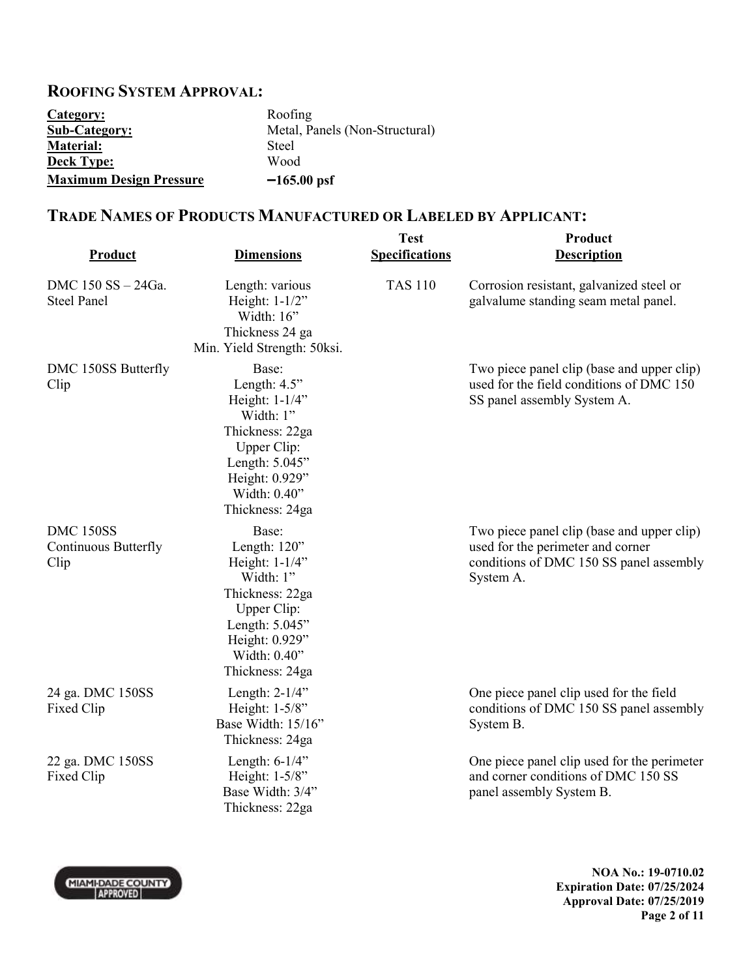# **ROOFING SYSTEM APPROVAL:**

| Category:                      | Roofing                        |
|--------------------------------|--------------------------------|
| <b>Sub-Category:</b>           | Metal, Panels (Non-Structural) |
| <b>Material:</b>               | Steel                          |
| <b>Deck Type:</b>              | Wood                           |
| <b>Maximum Design Pressure</b> | $-165.00$ psf                  |

#### **TRADE NAMES OF PRODUCTS MANUFACTURED OR LABELED BY APPLICANT:**

| <b>Product</b>                                          | <b>Dimensions</b>                                                                                                                                                | <b>Test</b><br><b>Specifications</b> | Product<br><b>Description</b>                                                                                                           |
|---------------------------------------------------------|------------------------------------------------------------------------------------------------------------------------------------------------------------------|--------------------------------------|-----------------------------------------------------------------------------------------------------------------------------------------|
| DMC 150 SS - 24Ga.<br><b>Steel Panel</b>                | Length: various<br>Height: $1-1/2$ "<br>Width: 16"<br>Thickness 24 ga<br>Min. Yield Strength: 50ksi.                                                             | <b>TAS 110</b>                       | Corrosion resistant, galvanized steel or<br>galvalume standing seam metal panel.                                                        |
| DMC 150SS Butterfly<br>Clip                             | Base:<br>Length: $4.5$ "<br>Height: 1-1/4"<br>Width: 1"<br>Thickness: 22ga<br>Upper Clip:<br>Length: 5.045"<br>Height: 0.929"<br>Width: 0.40"<br>Thickness: 24ga |                                      | Two piece panel clip (base and upper clip)<br>used for the field conditions of DMC 150<br>SS panel assembly System A.                   |
| <b>DMC 150SS</b><br><b>Continuous Butterfly</b><br>Clip | Base:<br>Length: 120"<br>Height: $1-1/4$ "<br>Width: 1"<br>Thickness: 22ga<br>Upper Clip:<br>Length: 5.045"<br>Height: 0.929"<br>Width: 0.40"<br>Thickness: 24ga |                                      | Two piece panel clip (base and upper clip)<br>used for the perimeter and corner<br>conditions of DMC 150 SS panel assembly<br>System A. |
| 24 ga. DMC 150SS<br>Fixed Clip                          | Length: $2-1/4$ "<br>Height: 1-5/8"<br>Base Width: 15/16"<br>Thickness: 24ga                                                                                     |                                      | One piece panel clip used for the field<br>conditions of DMC 150 SS panel assembly<br>System B.                                         |
| 22 ga. DMC 150SS<br>Fixed Clip                          | Length: $6-1/4$ "<br>Height: 1-5/8"<br>Base Width: 3/4"<br>Thickness: 22ga                                                                                       |                                      | One piece panel clip used for the perimeter<br>and corner conditions of DMC 150 SS<br>panel assembly System B.                          |

**NOA No.: 19-0710.02 Expiration Date: 07/25/2024 Approval Date: 07/25/2019 Page 2 of 11** 

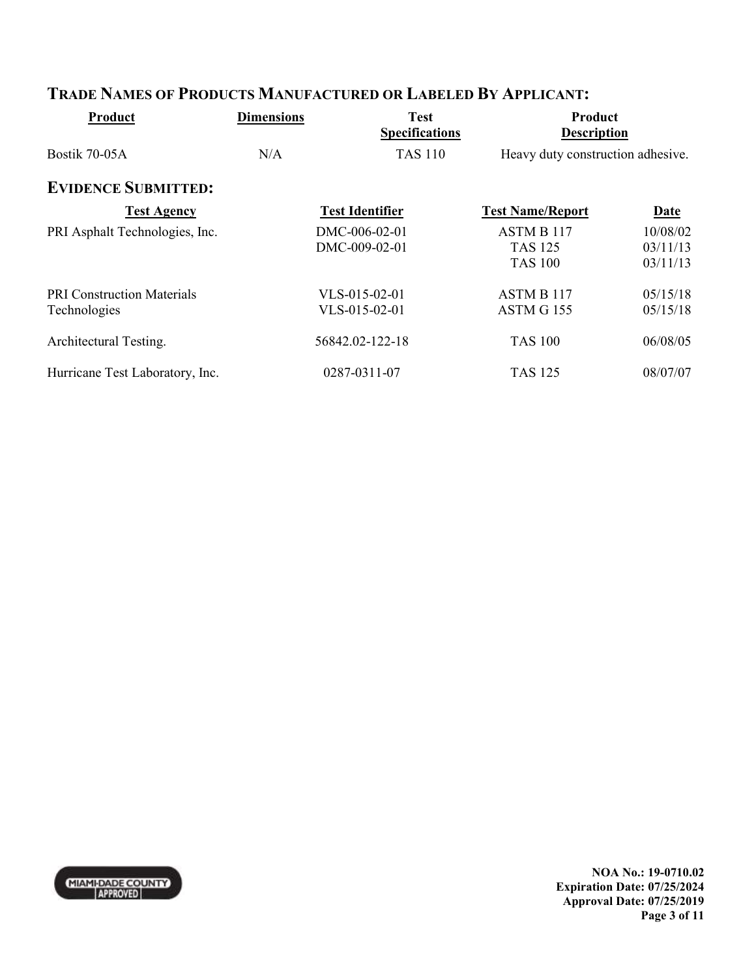| Product                                           | <b>Dimensions</b> | <b>Test</b><br><b>Specifications</b> | Product<br><b>Description</b>                  |                                  |
|---------------------------------------------------|-------------------|--------------------------------------|------------------------------------------------|----------------------------------|
| Bostik 70-05A                                     | N/A               | <b>TAS 110</b>                       | Heavy duty construction adhesive.              |                                  |
| <b>EVIDENCE SUBMITTED:</b>                        |                   |                                      |                                                |                                  |
| <b>Test Agency</b>                                |                   | <b>Test Identifier</b>               | <b>Test Name/Report</b>                        | Date                             |
| PRI Asphalt Technologies, Inc.                    |                   | DMC-006-02-01<br>DMC-009-02-01       | ASTM B 117<br><b>TAS 125</b><br><b>TAS 100</b> | 10/08/02<br>03/11/13<br>03/11/13 |
| <b>PRI Construction Materials</b><br>Technologies |                   | $VLS-015-02-01$<br>VLS-015-02-01     | ASTM B 117<br>ASTM G 155                       | 05/15/18<br>05/15/18             |
| Architectural Testing.                            |                   | 56842.02-122-18                      | <b>TAS 100</b>                                 | 06/08/05                         |
| Hurricane Test Laboratory, Inc.                   |                   | 0287-0311-07                         | <b>TAS 125</b>                                 | 08/07/07                         |

## **TRADE NAMES OF PRODUCTS MANUFACTURED OR LABELED BY APPLICANT:**



**NOA No.: 19-0710.02 Expiration Date: 07/25/2024 Approval Date: 07/25/2019 Page 3 of 11**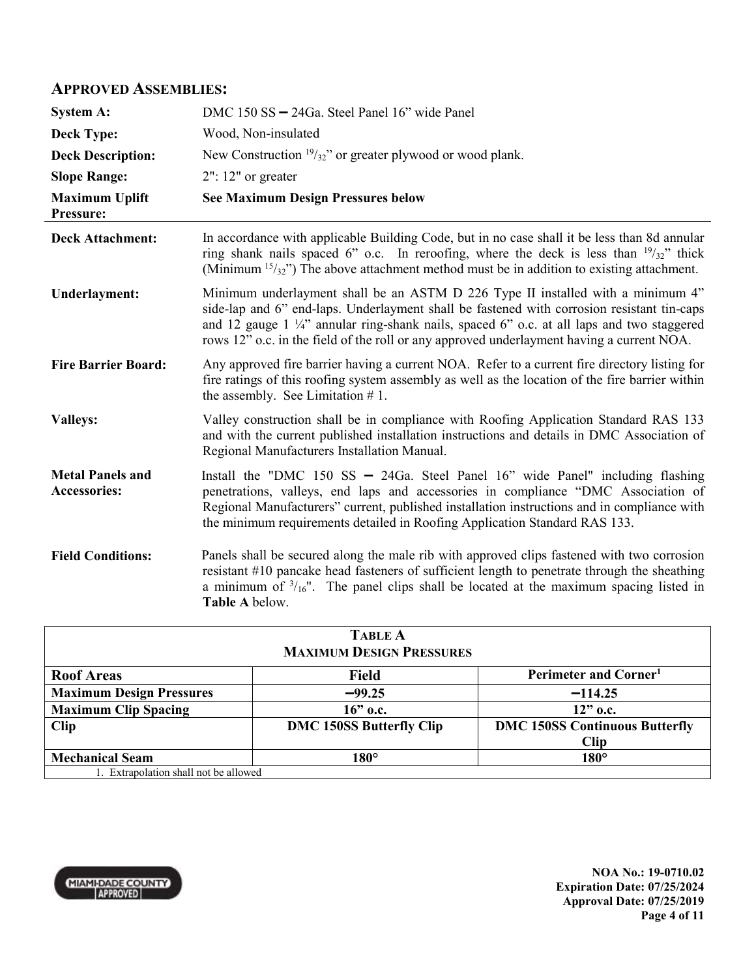#### **APPROVED ASSEMBLIES:**

| <b>System A:</b>                        | DMC 150 SS - 24Ga. Steel Panel 16" wide Panel                                                                                                                                                                                                                                                                                                                                     |
|-----------------------------------------|-----------------------------------------------------------------------------------------------------------------------------------------------------------------------------------------------------------------------------------------------------------------------------------------------------------------------------------------------------------------------------------|
| <b>Deck Type:</b>                       | Wood, Non-insulated                                                                                                                                                                                                                                                                                                                                                               |
| <b>Deck Description:</b>                | New Construction $19/32$ " or greater plywood or wood plank.                                                                                                                                                                                                                                                                                                                      |
| <b>Slope Range:</b>                     | $2"$ : 12" or greater                                                                                                                                                                                                                                                                                                                                                             |
| <b>Maximum Uplift</b><br>Pressure:      | <b>See Maximum Design Pressures below</b>                                                                                                                                                                                                                                                                                                                                         |
| <b>Deck Attachment:</b>                 | In accordance with applicable Building Code, but in no case shall it be less than 8d annular<br>ring shank nails spaced 6" o.c. In reroofing, where the deck is less than $\frac{19}{32}$ " thick<br>(Minimum $15/32$ ) The above attachment method must be in addition to existing attachment.                                                                                   |
| <b>Underlayment:</b>                    | Minimum underlayment shall be an ASTM D 226 Type II installed with a minimum 4"<br>side-lap and 6" end-laps. Underlayment shall be fastened with corrosion resistant tin-caps<br>and 12 gauge 1 $\frac{1}{4}$ annular ring-shank nails, spaced 6" o.c. at all laps and two staggered<br>rows 12" o.c. in the field of the roll or any approved underlayment having a current NOA. |
| <b>Fire Barrier Board:</b>              | Any approved fire barrier having a current NOA. Refer to a current fire directory listing for<br>fire ratings of this roofing system assembly as well as the location of the fire barrier within<br>the assembly. See Limitation $# 1$ .                                                                                                                                          |
| <b>Valleys:</b>                         | Valley construction shall be in compliance with Roofing Application Standard RAS 133<br>and with the current published installation instructions and details in DMC Association of<br>Regional Manufacturers Installation Manual.                                                                                                                                                 |
| <b>Metal Panels and</b><br>Accessories: | Install the "DMC 150 SS $-$ 24Ga. Steel Panel 16" wide Panel" including flashing<br>penetrations, valleys, end laps and accessories in compliance "DMC Association of<br>Regional Manufacturers" current, published installation instructions and in compliance with<br>the minimum requirements detailed in Roofing Application Standard RAS 133.                                |
| <b>Field Conditions:</b>                | Panels shall be secured along the male rib with approved clips fastened with two corrosion<br>resistant #10 pancake head fasteners of sufficient length to penetrate through the sheathing<br>a minimum of $\frac{3}{16}$ ". The panel clips shall be located at the maximum spacing listed in<br>Table A below.                                                                  |

| <b>TABLE A</b>                                           |                                 |                                       |  |
|----------------------------------------------------------|---------------------------------|---------------------------------------|--|
| <b>MAXIMUM DESIGN PRESSURES</b>                          |                                 |                                       |  |
| <b>Roof Areas</b>                                        | <b>Field</b>                    | Perimeter and Corner <sup>1</sup>     |  |
| <b>Maximum Design Pressures</b>                          | $-99.25$                        | $-114.25$                             |  |
| <b>Maximum Clip Spacing</b><br>$16$ " o.c.<br>$12"$ o.c. |                                 |                                       |  |
| <b>Clip</b>                                              | <b>DMC 150SS Butterfly Clip</b> | <b>DMC 150SS Continuous Butterfly</b> |  |
|                                                          |                                 | <b>Clip</b>                           |  |
| <b>Mechanical Seam</b>                                   | $180^\circ$                     | $180^\circ$                           |  |
| 1. Extrapolation shall not be allowed                    |                                 |                                       |  |



**NOA No.: 19-0710.02 Expiration Date: 07/25/2024 Approval Date: 07/25/2019 Page 4 of 11**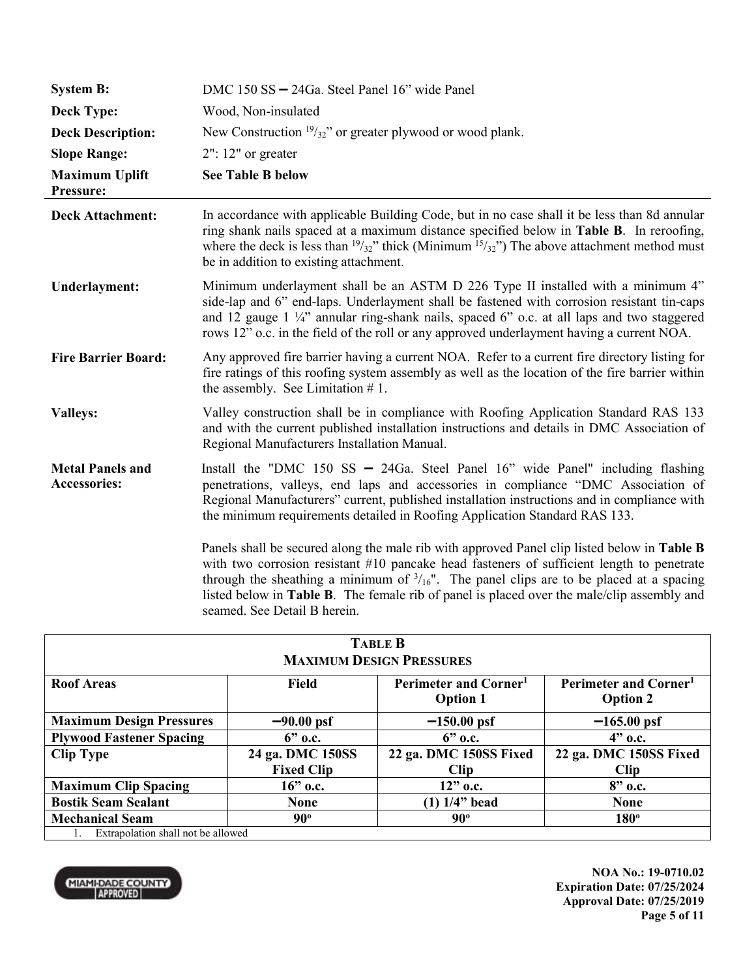| <b>System B:</b>                               | DMC 150 SS - 24Ga. Steel Panel 16" wide Panel                                                                                                                                                                                                                                                                                                                                                                                |
|------------------------------------------------|------------------------------------------------------------------------------------------------------------------------------------------------------------------------------------------------------------------------------------------------------------------------------------------------------------------------------------------------------------------------------------------------------------------------------|
| <b>Deck Type:</b>                              | Wood, Non-insulated                                                                                                                                                                                                                                                                                                                                                                                                          |
| <b>Deck Description:</b>                       | New Construction $\frac{19}{32}$ " or greater plywood or wood plank.                                                                                                                                                                                                                                                                                                                                                         |
| <b>Slope Range:</b>                            | $2"$ : 12" or greater                                                                                                                                                                                                                                                                                                                                                                                                        |
| <b>Maximum Uplift</b><br>Pressure:             | <b>See Table B below</b>                                                                                                                                                                                                                                                                                                                                                                                                     |
| <b>Deck Attachment:</b>                        | In accordance with applicable Building Code, but in no case shall it be less than 8d annular<br>ring shank nails spaced at a maximum distance specified below in <b>Table B</b> . In reroofing,<br>where the deck is less than $19/32$ " thick (Minimum $15/32$ ") The above attachment method must<br>be in addition to existing attachment.                                                                                |
| Underlayment:                                  | Minimum underlayment shall be an ASTM D 226 Type II installed with a minimum 4"<br>side-lap and 6" end-laps. Underlayment shall be fastened with corrosion resistant tin-caps<br>and 12 gauge $1\frac{1}{4}$ annular ring-shank nails, spaced 6" o.c. at all laps and two staggered<br>rows 12" o.c. in the field of the roll or any approved underlayment having a current NOA.                                             |
| <b>Fire Barrier Board:</b>                     | Any approved fire barrier having a current NOA. Refer to a current fire directory listing for<br>fire ratings of this roofing system assembly as well as the location of the fire barrier within<br>the assembly. See Limitation $# 1$ .                                                                                                                                                                                     |
| <b>Valleys:</b>                                | Valley construction shall be in compliance with Roofing Application Standard RAS 133<br>and with the current published installation instructions and details in DMC Association of<br>Regional Manufacturers Installation Manual.                                                                                                                                                                                            |
| <b>Metal Panels and</b><br><b>Accessories:</b> | Install the "DMC 150 SS $-$ 24Ga. Steel Panel 16" wide Panel" including flashing<br>penetrations, valleys, end laps and accessories in compliance "DMC Association of<br>Regional Manufacturers" current, published installation instructions and in compliance with<br>the minimum requirements detailed in Roofing Application Standard RAS 133.                                                                           |
|                                                | Panels shall be secured along the male rib with approved Panel clip listed below in Table B<br>with two corrosion resistant #10 pancake head fasteners of sufficient length to penetrate<br>through the sheathing a minimum of $\frac{3}{16}$ ". The panel clips are to be placed at a spacing<br>listed below in Table B. The female rib of panel is placed over the male/clip assembly and<br>seamed. See Detail B herein. |

| <b>TABLE B</b>                     |                   |                                                                        |                        |
|------------------------------------|-------------------|------------------------------------------------------------------------|------------------------|
| <b>MAXIMUM DESIGN PRESSURES</b>    |                   |                                                                        |                        |
| <b>Roof Areas</b>                  | Field             | Perimeter and Corner <sup>1</sup><br>Perimeter and Corner <sup>1</sup> |                        |
|                                    |                   | <b>Option 1</b>                                                        | <b>Option 2</b>        |
| <b>Maximum Design Pressures</b>    | $-90.00$ psf      | $-150.00$ psf                                                          | $-165.00$ psf          |
| <b>Plywood Fastener Spacing</b>    | $6"$ o.c.         | $6"$ o.c.                                                              | $4"$ o.c.              |
| <b>Clip Type</b>                   | 24 ga. DMC 150SS  | 22 ga. DMC 150SS Fixed                                                 | 22 ga. DMC 150SS Fixed |
|                                    | <b>Fixed Clip</b> | <b>Clip</b>                                                            | <b>Clip</b>            |
| <b>Maximum Clip Spacing</b>        | $16$ " o.c.       | $12"$ o.c.                                                             | $8"$ o.c.              |
| <b>Bostik Seam Sealant</b>         | <b>None</b>       | $(1)$ 1/4" bead                                                        | <b>None</b>            |
| <b>Mechanical Seam</b>             | $90^{\circ}$      | $90^\circ$                                                             | $180^\circ$            |
| Extrapolation shall not be allowed |                   |                                                                        |                        |



**NOA No.: 19-0710.02 Expiration Date: 07/25/2024 Approval Date: 07/25/2019 Page 5 of 11**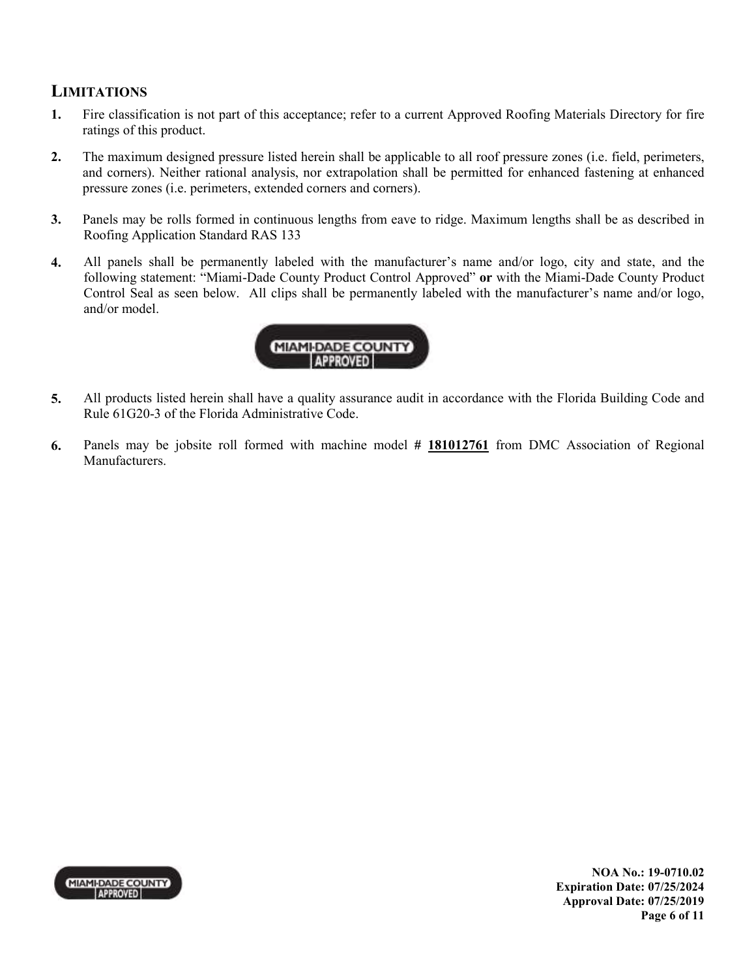#### **LIMITATIONS**

- **1.** Fire classification is not part of this acceptance; refer to a current Approved Roofing Materials Directory for fire ratings of this product.
- **2.** The maximum designed pressure listed herein shall be applicable to all roof pressure zones (i.e. field, perimeters, and corners). Neither rational analysis, nor extrapolation shall be permitted for enhanced fastening at enhanced pressure zones (i.e. perimeters, extended corners and corners).
- **3.** Panels may be rolls formed in continuous lengths from eave to ridge. Maximum lengths shall be as described in Roofing Application Standard RAS 133
- **4.** All panels shall be permanently labeled with the manufacturer's name and/or logo, city and state, and the following statement: "Miami-Dade County Product Control Approved" **or** with the Miami-Dade County Product Control Seal as seen below. All clips shall be permanently labeled with the manufacturer's name and/or logo, and/or model.



- **5.** All products listed herein shall have a quality assurance audit in accordance with the Florida Building Code and Rule 61G20-3 of the Florida Administrative Code.
- **6.** Panels may be jobsite roll formed with machine model **# 181012761** from DMC Association of Regional Manufacturers.

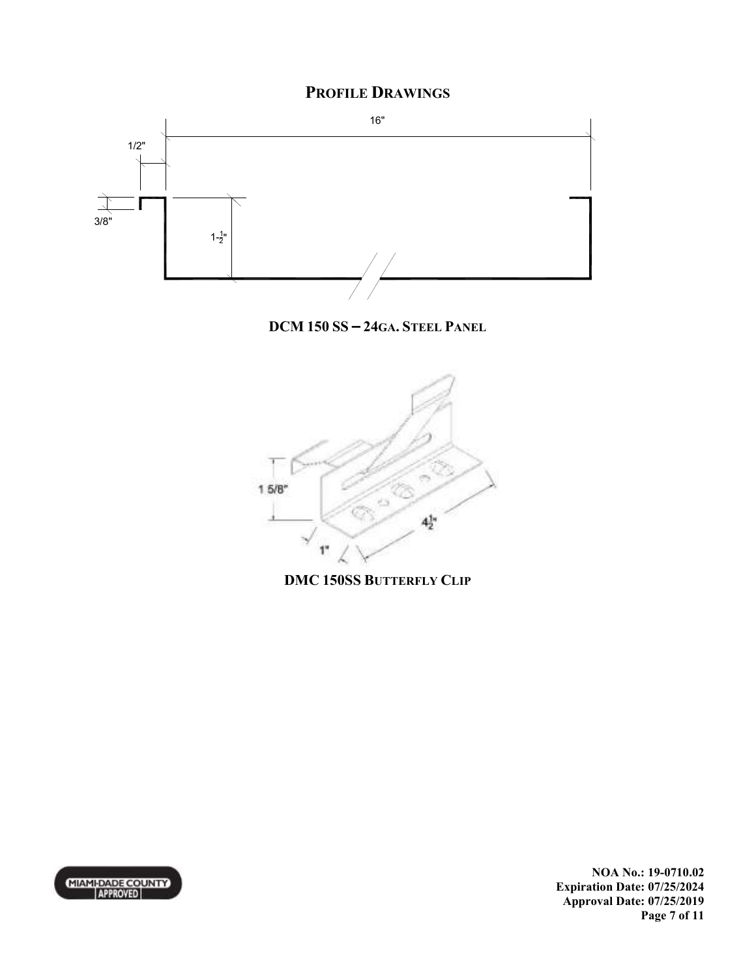## **PROFILE DRAWINGS**



**DCM 150 SS – 24GA. STEEL PANEL**



**DMC 150SS BUTTERFLY CLIP**



**NOA No.: 19-0710.02 Expiration Date: 07/25/2024 Approval Date: 07/25/2019 Page 7 of 11**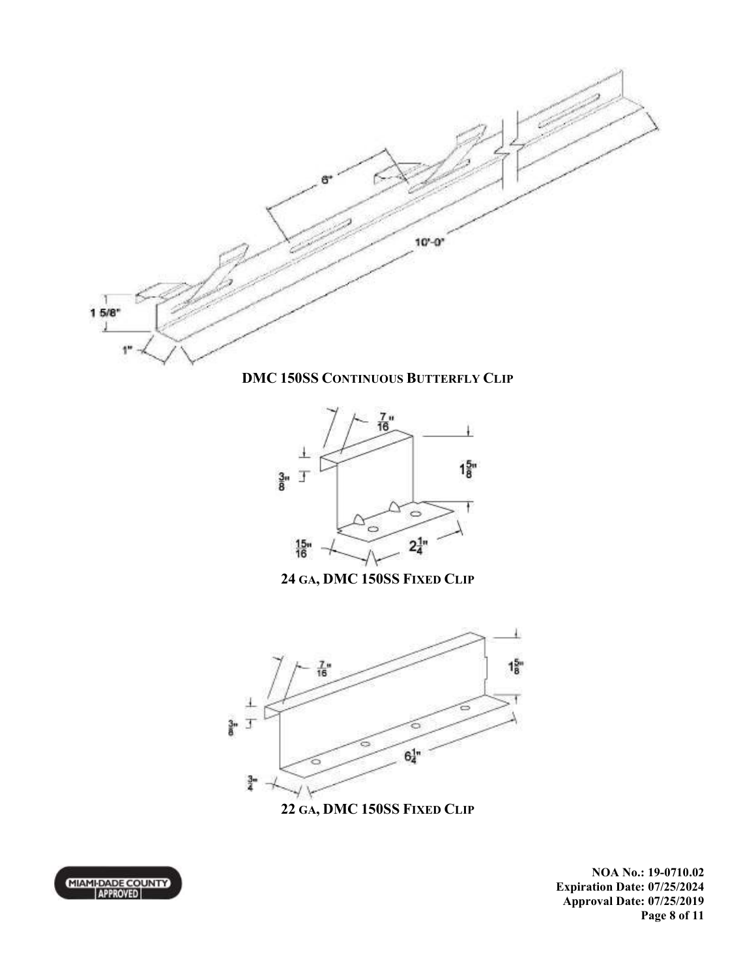

**DMC 150SS CONTINUOUS BUTTERFLY CLIP**



**24 GA, DMC 150SS FIXED CLIP**



**22 GA, DMC 150SS FIXED CLIP**



**NOA No.: 19-0710.02 Expiration Date: 07/25/2024 Approval Date: 07/25/2019 Page 8 of 11**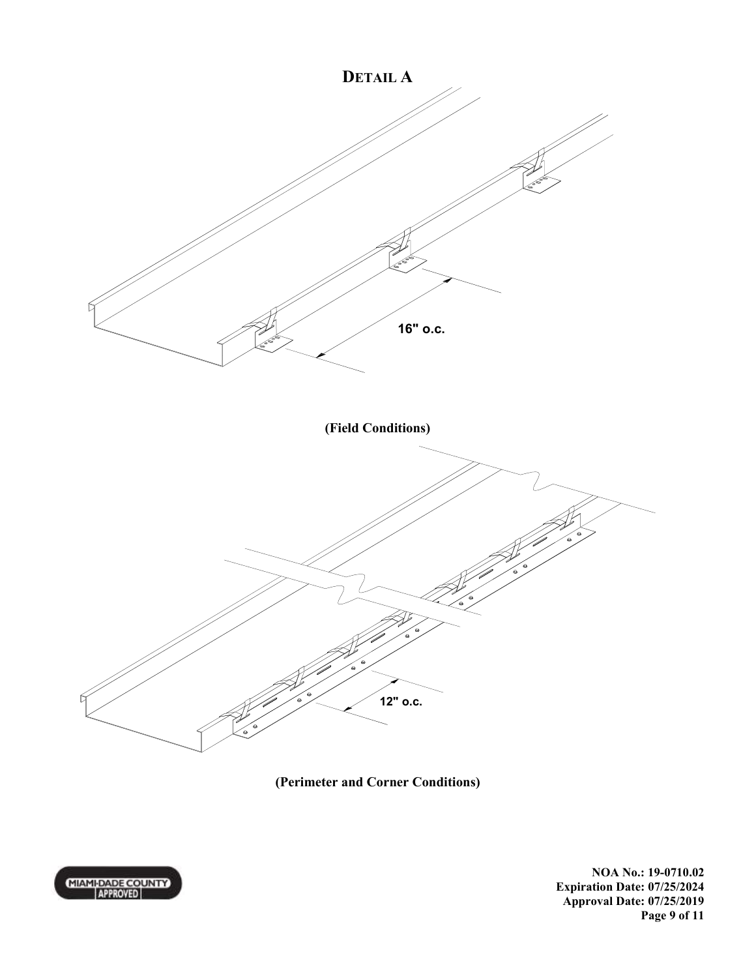

**(Perimeter and Corner Conditions)** 



**NOA No.: 19-0710.02 Expiration Date: 07/25/2024 Approval Date: 07/25/2019 Page 9 of 11**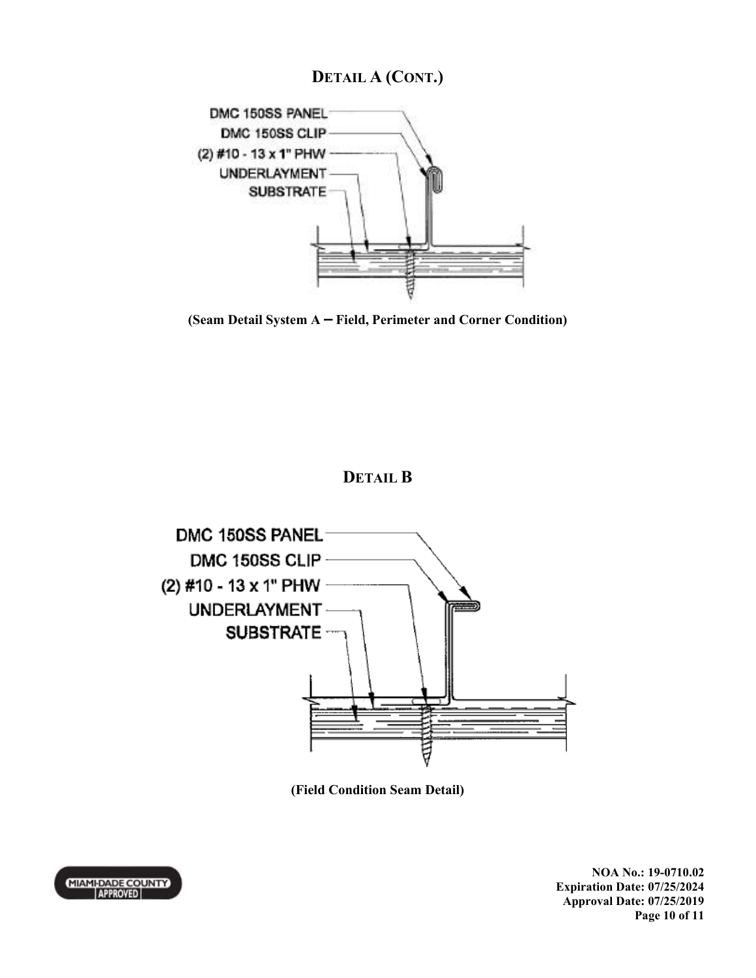# **DETAIL A (CONT.)**



**(Seam Detail System A – Field, Perimeter and Corner Condition)** 

## **DETAIL B**



**(Field Condition Seam Detail)** 

MIAMI-DADE COUNTY

**NOA No.: 19-0710.02 Expiration Date: 07/25/2024 Approval Date: 07/25/2019 Page 10 of 11**